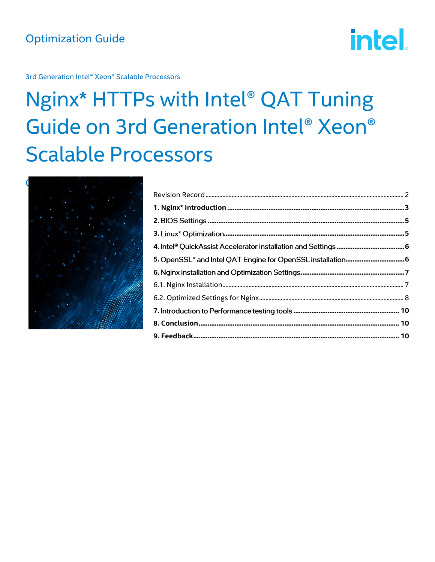# **intel.**

3rd Generation Intel® Xeon® Scalable Processors

## Nginx\* HTTPs with Intel® QAT Tuning Guide on 3rd Generation Intel® Xeon® **Scalable Processors**

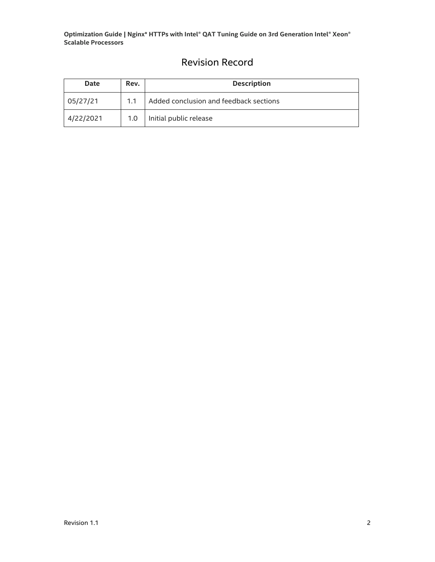## Revision Record

<span id="page-1-0"></span>

| <b>Date</b> | Rev.             | <b>Description</b>                     |  |
|-------------|------------------|----------------------------------------|--|
| 05/27/21    | 1.1              | Added conclusion and feedback sections |  |
| 4/22/2021   | 1.0 <sub>1</sub> | Initial public release                 |  |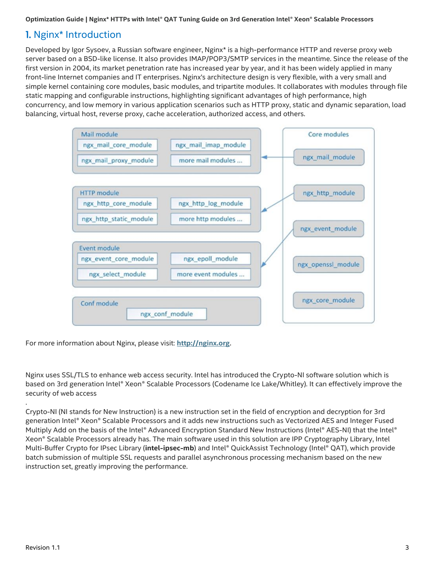## <span id="page-2-0"></span>1. Nginx\* Introduction

Developed by Igor Sysoev, a Russian software engineer, Nginx\* is a high-performance HTTP and reverse proxy web server based on a BSD-like license. It also provides IMAP/POP3/SMTP services in the meantime. Since the release of the first version in 2004, its market penetration rate has increased year by year, and it has been widely applied in many front-line Internet companies and IT enterprises. Nginx's architecture design is very flexible, with a very small and simple kernel containing core modules, basic modules, and tripartite modules. It collaborates with modules through file static mapping and configurable instructions, highlighting significant advantages of high performance, high concurrency, and low memory in various application scenarios such as HTTP proxy, static and dynamic separation, load balancing, virtual host, reverse proxy, cache acceleration, authorized access, and others.



For more information about Nginx, please visit: **[http://nginx.org](http://nginx.org/)**.

Nginx uses SSL/TLS to enhance web access security. Intel has introduced the Crypto-NI software solution which is based on 3rd generation Intel® Xeon® Scalable Processors (Codename Ice Lake/Whitley). It can effectively improve the security of web access

Crypto-NI (NI stands for New Instruction) is a new instruction set in the field of encryption and decryption for 3rd generation Intel® Xeon® Scalable Processors and it adds new instructions such as Vectorized AES and Integer Fused Multiply Add on the basis of the Intel® Advanced Encryption Standard New Instructions (Intel® AES-NI) that the Intel® Xeon® Scalable Processors already has. The main software used in this solution are IPP Cryptography Library, Intel Multi-Buffer Crypto for IPsec Library (**intel-ipsec-mb**) and Intel® QuickAssist Technology (Intel® QAT), which provide batch submission of multiple SSL requests and parallel asynchronous processing mechanism based on the new instruction set, greatly improving the performance.

.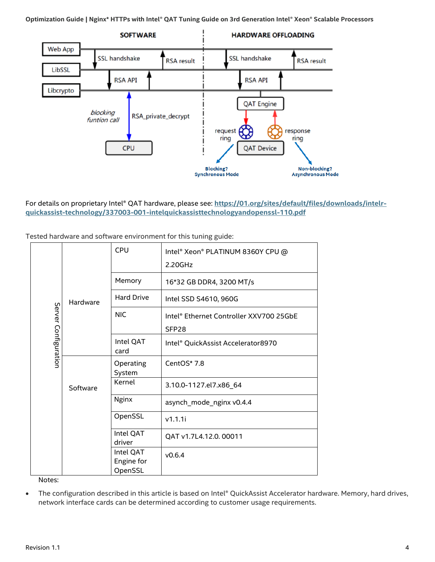

For details on proprietary Intel® QAT hardware, please see: **[https://01.org/sites/default/files/downloads/intelr](https://01.org/sites/default/files/downloads/intelr-quickassist-technology/337003-001-intelquickassisttechnologyandopenssl-110.pdf)[quickassist-technology/337003-001-intelquickassisttechnologyandopenssl-110.pdf](https://01.org/sites/default/files/downloads/intelr-quickassist-technology/337003-001-intelquickassisttechnologyandopenssl-110.pdf)**

| Hardware<br>Server Configuration<br>Software |                   | <b>CPU</b>                         | Intel® Xeon® PLATINUM 8360Y CPU @<br>2.20GHz                 |
|----------------------------------------------|-------------------|------------------------------------|--------------------------------------------------------------|
|                                              |                   | Memory                             | 16*32 GB DDR4, 3200 MT/s                                     |
|                                              |                   | <b>Hard Drive</b>                  | Intel SSD S4610, 960G                                        |
|                                              |                   | <b>NIC</b>                         | Intel® Ethernet Controller XXV700 25GbE<br>SFP <sub>28</sub> |
|                                              | Intel QAT<br>card | Intel® QuickAssist Accelerator8970 |                                                              |
|                                              |                   | Operating<br>System                | CentOS* 7.8                                                  |
|                                              |                   | Kernel                             | 3.10.0-1127.el7.x86_64                                       |
|                                              | <b>Nginx</b>      | asynch_mode_nginx v0.4.4           |                                                              |
|                                              |                   | OpenSSL                            | v1.1.1i                                                      |
|                                              |                   | Intel QAT<br>driver                | QAT v1.7L4.12.0.00011                                        |
|                                              |                   | Intel QAT<br>Engine for<br>OpenSSL | V0.6.4                                                       |

Tested hardware and software environment for this tuning guide:

Notes:

• The configuration described in this article is based on Intel® QuickAssist Accelerator hardware. Memory, hard drives, network interface cards can be determined according to customer usage requirements.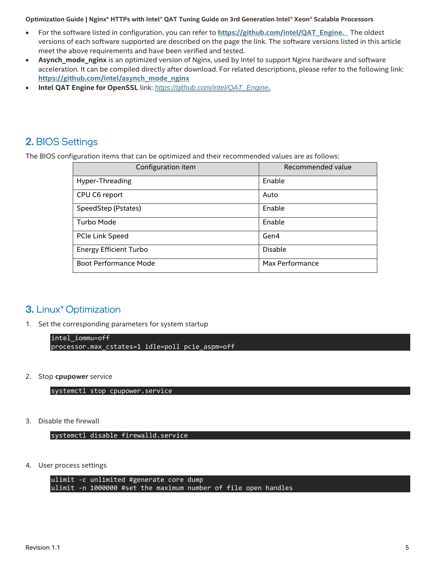- For the software listed in configuration, you can refer to **[https://github.com/intel/QAT\\_Engine](https://github.com/intel/QAT_Engine)***.* The oldest versions of each software supported are described on the page the link. The software versions listed in this article meet the above requirements and have been verified and tested.
- **Asynch\_mode\_nginx** is an optimized version of Nginx, used by Intel to support Nginx hardware and software acceleration. It can be compiled directly after download. For related descriptions, please refer to the following link: **[https://github.com/intel/asynch\\_mode\\_nginx](https://github.com/intel/asynch_mode_nginx)**
- **Intel QAT Engine for OpenSSL** link: *[https://github.com/intel/QAT\\_Engine](https://github.com/intel/QAT_Engine).*

## <span id="page-4-0"></span>2. BIOS Settings

The BIOS configuration items that can be optimized and their recommended values are as follows:

| Configuration item            | Recommended value |
|-------------------------------|-------------------|
| Hyper-Threading               | Enable            |
| CPU C6 report                 | Auto              |
| SpeedStep (Pstates)           | Enable            |
| Turbo Mode                    | Enable            |
| PCIe Link Speed               | Gen4              |
| <b>Energy Efficient Turbo</b> | Disable           |
| <b>Boot Performance Mode</b>  | Max Performance   |

### <span id="page-4-1"></span>3. Linux<sup>\*</sup> Optimization

1. Set the corresponding parameters for system startup

```
intel_iommu=off
processor.max_cstates=1 idle=poll pcie_aspm=off
```
2. Stop **cpupower** service

systemctl stop cpupower.service

3. Disable the firewall

systemctl disable firewalld.service

4. User process settings

```
ulimit -c unlimited #generate core dump
ulimit -n 1000000 #set the maximum number of file open handles
```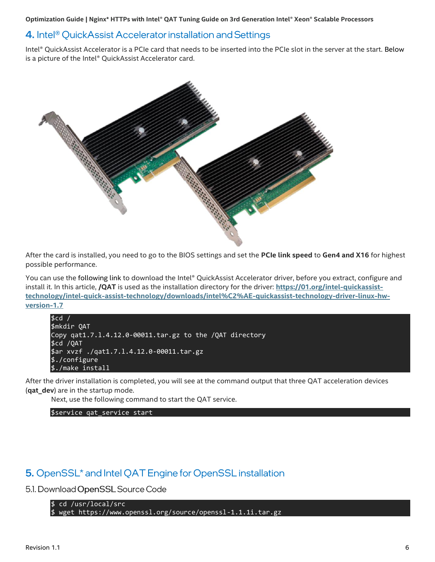### <span id="page-5-0"></span>4. Intel<sup>®</sup> QuickAssist Accelerator installation and Settings

Intel® QuickAssist Accelerator is a PCIe card that needs to be inserted into the PCIe slot in the server at the start. Below is a picture of the Intel® QuickAssist Accelerator card.



After the card is installed, you need to go to the BIOS settings and set the **PCIe link speed** to **Gen4 and X16** for highest possible performance.

You can use the following link to download the Intel® QuickAssist Accelerator driver, before you extract, configure and install it. In this article, **/QAT** is used as the installation directory for the driver: **[https://01.org/intel-quickassist](https://01.org/intel-quickassist-technology/intel-quick-assist-technology/downloads/intel%C2%AE-quickassist-technology-driver-linux-hw-version-1.7)[technology/intel-quick-assist-technology/downloads/intel%C2%AE-quickassist-technology-driver-linux-hw](https://01.org/intel-quickassist-technology/intel-quick-assist-technology/downloads/intel%C2%AE-quickassist-technology-driver-linux-hw-version-1.7)[version-1.7](https://01.org/intel-quickassist-technology/intel-quick-assist-technology/downloads/intel%C2%AE-quickassist-technology-driver-linux-hw-version-1.7)**

```
$cd /
$mkdir QAT
Copy qat1.7.l.4.12.0-00011.tar.gz to the /QAT directory
$cd /QAT
$ar xvzf ./qat1.7.l.4.12.0-00011.tar.gz
$./configure
$./make install
```
After the driver installation is completed, you will see at the command output that three QAT acceleration devices (**qat\_dev**) are in the startup mode.

Next, use the following command to start the QAT service.

\$service qat\_service start

## <span id="page-5-1"></span>5. OpenSSL<sup>\*</sup> and Intel QAT Engine for OpenSSL installation

5.1. Download OpenSSL Source Code

\$ cd /usr/local/src \$ wget<https://www.openssl.org/source/openssl-1.1.1i.tar.gz>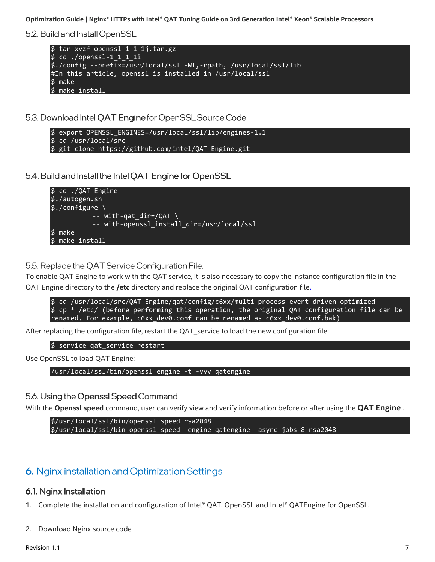5.2. Build and Install OpenSSL

```
$ tar xvzf openssl-1_1_1j.tar.gz 
$ cd ./openssl-1_1_1_1i
$./config --prefix=/usr/local/ssl -Wl,-rpath, /usr/local/ssl/lib
#In this article, openssl is installed in /usr/local/ssl
$ make
$ make install
```
5.3. Download Intel QAT Engine for OpenSSL Source Code

```
$ export OPENSSL_ENGINES=/usr/local/ssl/lib/engines-1.1
$ cd /usr/local/src
$ git clone https://github.com/intel/QAT_Engine.git
```
5.4. Build and Install the Intel QAT Engine for OpenSSL



5.5. Replace the OAT Service Configuration File.

To enable QAT Engine to work with the QAT service, it is also necessary to copy the instance configuration file in the QAT Engine directory to the **/etc** directory and replace the original QAT configuration file.

\$ cd /usr/local/src/QAT\_Engine/qat/config/c6xx/multi\_process\_event-driven\_optimized \$ cp \* /etc/ (before performing this operation, the original QAT configuration file can be renamed. For example, c6xx\_dev0.conf can be renamed as c6xx\_dev0.conf.bak)

After replacing the configuration file, restart the QAT service to load the new configuration file:

\$ service qat\_service restart

Use OpenSSL to load QAT Engine:

/usr/local/ssl/bin/openssl engine -t -vvv qatengine

#### 5.6. Using the Openssl Speed Command

With the **Openssl speed** command, user can verify view and verify information before or after using the **QAT Engine** .

```
$/usr/local/ssl/bin/openssl speed rsa2048
$/usr/local/ssl/bin openssl speed -engine qatengine -async_jobs 8 rsa2048
```
## <span id="page-6-0"></span>6. Nginx installation and Optimization Settings

#### <span id="page-6-1"></span>6.1. Nginx Installation

- 1. Complete the installation and configuration of Intel® QAT, OpenSSL and Intel® QATEngine for OpenSSL.
- 2. Download Nginx source code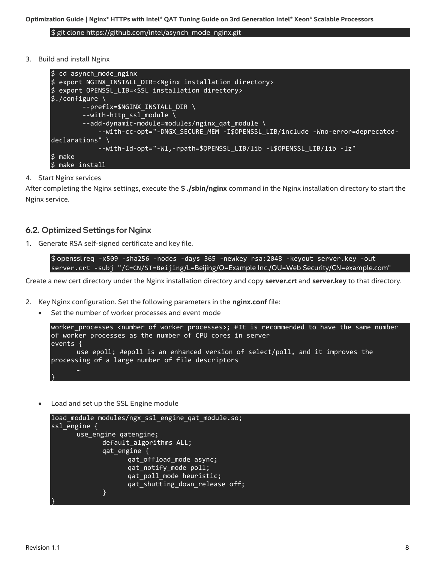\$ git clone [https://github.com/intel/asynch\\_mode\\_nginx.git](https://github.com/intel/asynch_mode_nginx.git)

3. Build and install Nginx

```
$ cd asynch_mode_nginx
$ export NGINX_INSTALL_DIR=<Nginx installation directory>
$ export OPENSSL_LIB=<SSL installation directory>
\frac{1}{2}./configure \
        --prefix=$NGINX INSTALL DIR \
        --with-http ssl module \setminus--add-dynamic-module=modules/nginx_qat_module \
              --with-cc-opt="-DNGX_SECURE_MEM -I$OPENSSL_LIB/include -Wno-error=deprecated-
declarations" \
              --with-ld-opt="-Wl,-rpath=$OPENSSL_LIB/lib -L$OPENSSL_LIB/lib -lz"
$ make
$ make install
```
#### 4. Start Nginx services

After completing the Nginx settings, execute the **\$ ./sbin/nginx** command in the Nginx installation directory to start the Nginx service.

#### <span id="page-7-0"></span>6.2. Optimized Settings for Nginx

1. Generate RSA self-signed certificate and key file.

\$ openssl req -x509 -sha256 -nodes -days 365 -newkey rsa:2048 -keyout server.key -out server.crt -subj "/C=CN/ST=Beijing/L=Beijing/O=Example Inc./OU=Web Security/CN=example.com"

Create a new cert directory under the Nginx installation directory and copy **server.crt** and **server.key** to that directory.

- 2. Key Nginx configuration. Set the following parameters in the **nginx.conf** file:
	- Set the number of worker processes and event mode

```
worker_processes <number of worker processes>; #It is recommended to have the same number 
of worker processes as the number of CPU cores in server
events {
      use epoll; #epoll is an enhanced version of select/poll, and it improves the 
processing of a large number of file descriptors
}
```
• Load and set up the SSL Engine module

```
load module modules/ngx ssl engine qat module.so;
ssl_engine {
       use_engine qatengine;
             default algorithms ALL;
             qat_engine {
                    qat offload mode async;
                    qat_notify_mode poll;
                    qat_poll_mode heuristic;
                    qat shutting down release off;
             }
}
```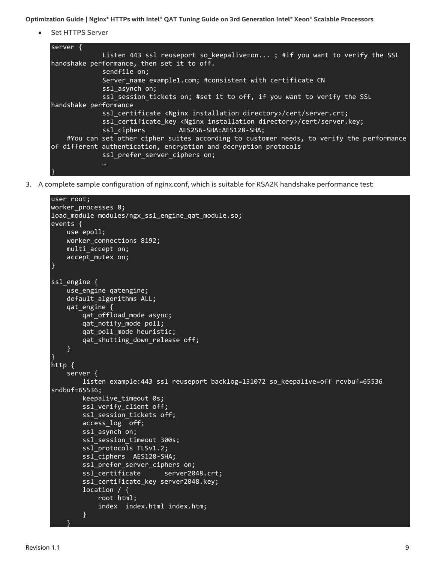Set HTTPS Server



3. A complete sample configuration of nginx.conf, which is suitable for RSA2K handshake performance test:

```
user root;
worker_processes 8;
load module modules/ngx ssl engine qat module.so;
events {
     use epoll;
     worker_connections 8192;
     multi_accept on;
    accept mutex on;
}
ssl engine {
     use_engine qatengine;
     default_algorithms ALL;
     qat_engine {
         qat_offload_mode async;
        qat notify mode poll;
         qat_poll_mode heuristic;
        qat shutting down release off;
     }
}
http {
     server {
         listen example:443 ssl reuseport backlog=131072 so_keepalive=off rcvbuf=65536 
sndbuf=65536;
         keepalive_timeout 0s;
        ssl verify client off;
        ssl session tickets off;
         access_log off;
        ssl asynch on;
        ssl session timeout 300s;
         ssl_protocols TLSv1.2;
         ssl_ciphers AES128-SHA;
         ssl_prefer_server_ciphers on;
        ssl certificate server2048.crt;
         ssl_certificate_key server2048.key;
         location / {
             root html;
             index index.html index.htm;
 }
 }
```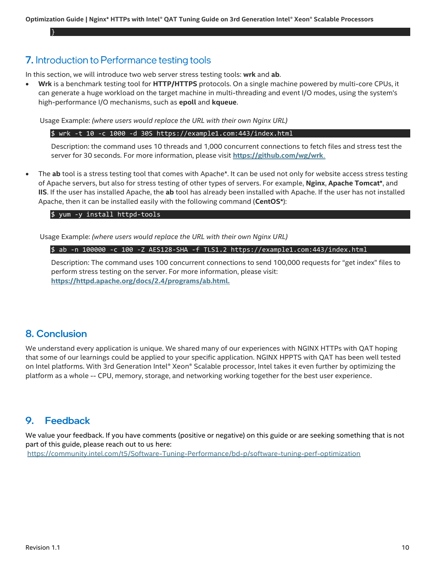## <span id="page-9-0"></span>7. Introduction to Performance testing tools

In this section, we will introduce two web server stress testing tools: **wrk** and **ab**.

• **Wrk** is a benchmark testing tool for **HTTP/HTTPS** protocols. On a single machine powered by multi-core CPUs, it can generate a huge workload on the target machine in multi-threading and event I/O modes, using the system's high-performance I/O mechanisms, such as **epoll** and **kqueue**.

Usage Example: *(where users would replace the URL with their own Nginx URL)*

\$ wrk -t 10 -c 1000 -d 30S https://example1.com:443/index.html

Description: the command uses 10 threads and 1,000 concurrent connections to fetch files and stress test the server for 30 seconds. For more information, please visit **<https://github.com/wg/wrk>**.

• The **ab** tool is a stress testing tool that comes with Apache\*. It can be used not only for website access stress testing of Apache servers, but also for stress testing of other types of servers. For example, **Nginx**, **Apache Tomcat\***, and **IIS**. If the user has installed Apache, the **ab** tool has already been installed with Apache. If the user has not installed Apache, then it can be installed easily with the following command (**CentOS\***):

#### \$ yum -y install httpd-tools

Usage Example: *(where users would replace the URL with their own Nginx URL)*

\$ ab -n 100000 -c 100 -Z AES128-SHA -f TLS1.2 [https://example1.com:443/index.html](https://example1.com/index.html)

Description: The command uses 100 concurrent connections to send 100,000 requests for "get index" files to perform stress testing on the server. For more information, please visit: **<https://httpd.apache.org/docs/2.4/programs/ab.html>***.*

## <span id="page-9-1"></span>**8. Conclusion**

}

We understand every application is unique. We shared many of our experiences with NGINX HTTPs with QAT hoping that some of our learnings could be applied to your specific application. NGINX HPPTS with QAT has been well tested on Intel platforms. With 3rd Generation Intel® Xeon® Scalable processor, Intel takes it even further by optimizing the platform as a whole -- CPU, memory, storage, and networking working together for the best user experience.

#### <span id="page-9-2"></span>**Feedback** 9.

We value your feedback. If you have comments (positive or negative) on this guide or are seeking something that is not part of this guide, please reach out to us [here:](https://community.intel.com/t5/Software-Tuning-Performance/bd-p/software-tuning-perf-optimization) <https://community.intel.com/t5/Software-Tuning-Performance/bd-p/software-tuning-perf-optimization>